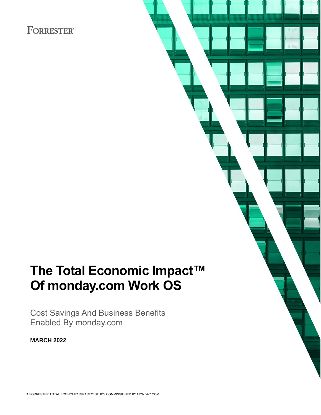# **FORRESTER®**

# **The Total Economic Impact™ Of monday.com Work OS**

Cost Savings And Business Benefits Enabled By monday.com

**MARCH 2022**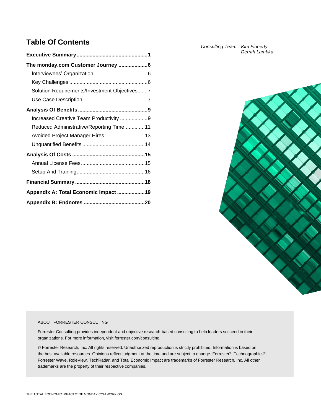# **Table Of Contents**

| The monday.com Customer Journey 6             |
|-----------------------------------------------|
|                                               |
|                                               |
| Solution Requirements/Investment Objectives 7 |
|                                               |
|                                               |
| Increased Creative Team Productivity 9        |
| Reduced Administrative/Reporting Time11       |
| Avoided Project Manager Hires 13              |
|                                               |
|                                               |
|                                               |
|                                               |
|                                               |
| Appendix A: Total Economic Impact 19          |
|                                               |

*Consulting Team: Kim Finnerty Derrith Lambka*



#### ABOUT FORRESTER CONSULTING

Forrester Consulting provides independent and objective research-based consulting to help leaders succeed in their organizations. For more information, visit forrester.com/consulting.

© Forrester Research, Inc. All rights reserved. Unauthorized reproduction is strictly prohibited. Information is based on the best available resources. Opinions reflect judgment at the time and are subject to change. Forrester®, Technographics®, Forrester Wave, RoleView, TechRadar, and Total Economic Impact are trademarks of Forrester Research, Inc. All other trademarks are the property of their respective companies.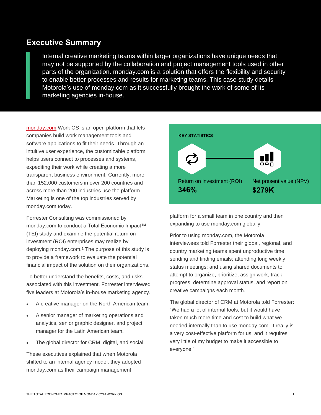# **Executive Summary**

Internal creative marketing teams within larger organizations have unique needs that may not be supported by the collaboration and project management tools used in other parts of the organization. monday.com is a solution that offers the flexibility and security to enable better processes and results for marketing teams. This case study details Motorola's use of monday.com as it successfully brought the work of some of its marketing agencies in-house.

[monday.com](https://www.monday.com/) Work OS is an open platform that lets companies build work management tools and software applications to fit their needs. Through an intuitive user experience, the customizable platform helps users connect to processes and systems, expediting their work while creating a more transparent business environment. Currently, more than 152,000 customers in over 200 countries and across more than 200 industries use the platform. Marketing is one of the top industries served by monday.com today.

Forrester Consulting was commissioned by monday.com to conduct a Total Economic Impact™ (TEI) study and examine the potential return on investment (ROI) enterprises may realize by deploying monday.com.<sup>1</sup> The purpose of this study is to provide a framework to evaluate the potential financial impact of the solution on their organizations.

To better understand the benefits, costs, and risks associated with this investment, Forrester interviewed five leaders at Motorola's in-house marketing agency.

- A creative manager on the North American team.
- A senior manager of marketing operations and analytics, senior graphic designer, and project manager for the Latin American team.
- The global director for CRM, digital, and social.

These executives explained that when Motorola shifted to an internal agency model, they adopted monday.com as their campaign management



platform for a small team in one country and then expanding to use monday.com globally.

Prior to using monday.com, the Motorola interviewees told Forrester their global, regional, and country marketing teams spent unproductive time sending and finding emails; attending long weekly status meetings; and using shared documents to attempt to organize, prioritize, assign work, track progress, determine approval status, and report on creative campaigns each month.

The global director of CRM at Motorola told Forrester: "We had a lot of internal tools, but it would have taken much more time and cost to build what we needed internally than to use monday.com. It really is a very cost-effective platform for us, and it requires very little of my budget to make it accessible to everyone."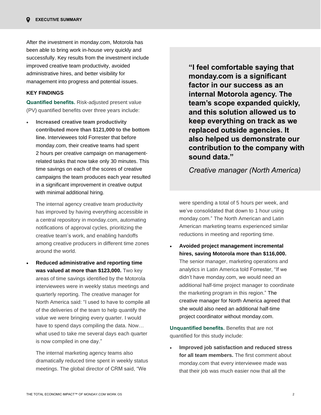After the investment in monday.com, Motorola has been able to bring work in-house very quickly and successfully. Key results from the investment include improved creative team productivity, avoided administrative hires, and better visibility for management into progress and potential issues.

## **KEY FINDINGS**

**Quantified benefits.** Risk-adjusted present value (PV) quantified benefits over three years include:

• **Increased creative team productivity contributed more than \$121,000 to the bottom line.** Interviewees told Forrester that before monday.com, their creative teams had spent 2 hours per creative campaign on managementrelated tasks that now take only 30 minutes. This time savings on each of the scores of creative campaigns the team produces each year resulted in a significant improvement in creative output with minimal additional hiring.

The internal agency creative team productivity has improved by having everything accessible in a central repository in monday.com, automating notifications of approval cycles, prioritizing the creative team's work, and enabling handoffs among creative producers in different time zones around the world.

• **Reduced administrative and reporting time was valued at more than \$123,000.** Two key areas of time savings identified by the Motorola interviewees were in weekly status meetings and quarterly reporting. The creative manager for North America said: "I used to have to compile all of the deliveries of the team to help quantify the value we were bringing every quarter. I would have to spend days compiling the data. Now… what used to take me several days each quarter is now compiled in one day."

The internal marketing agency teams also dramatically reduced time spent in weekly status meetings. The global director of CRM said, "We

**"I feel comfortable saying that monday.com is a significant factor in our success as an internal Motorola agency. The team's scope expanded quickly, and this solution allowed us to keep everything on track as we replaced outside agencies. It also helped us demonstrate our contribution to the company with sound data."**

*Creative manager (North America)*

were spending a total of 5 hours per week, and we've consolidated that down to 1 hour using monday.com." The North American and Latin American marketing teams experienced similar reductions in meeting and reporting time.

• **Avoided project management incremental hires, saving Motorola more than \$116,000.**  The senior manager, marketing operations and analytics in Latin America told Forrester, "If we didn't have monday.com, we would need an additional half-time project manager to coordinate the marketing program in this region." The creative manager for North America agreed that she would also need an additional half-time project coordinator without monday.com.

**Unquantified benefits.** Benefits that are not quantified for this study include:

• **Improved job satisfaction and reduced stress for all team members.** The first comment about monday.com that every interviewee made was that their job was much easier now that all the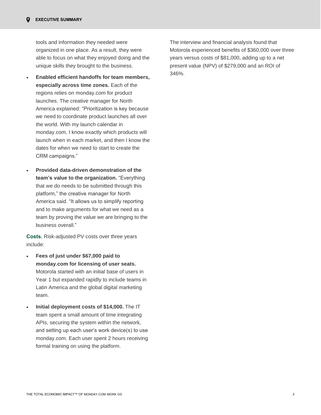tools and information they needed were organized in one place. As a result, they were able to focus on what they enjoyed doing and the unique skills they brought to the business.

- **Enabled efficient handoffs for team members, especially across time zones.** Each of the regions relies on monday.com for product launches. The creative manager for North America explained: "Prioritization is key because we need to coordinate product launches all over the world. With my launch calendar in monday.com, I know exactly which products will launch when in each market, and then I know the dates for when we need to start to create the CRM campaigns."
- **Provided data-driven demonstration of the team's value to the organization.** "Everything that we do needs to be submitted through this platform," the creative manager for North America said. "It allows us to simplify reporting and to make arguments for what we need as a team by proving the value we are bringing to the business overall."

**Costs.** Risk-adjusted PV costs over three years include:

- **Fees of just under \$67,000 paid to monday.com for licensing of user seats.** Motorola started with an initial base of users in Year 1 but expanded rapidly to include teams in Latin America and the global digital marketing team.
- **Initial deployment costs of \$14,000.** The IT team spent a small amount of time integrating APIs, securing the system within the network, and setting up each user's work device(s) to use monday.com. Each user spent 2 hours receiving formal training on using the platform.

The interview and financial analysis found that Motorola experienced benefits of \$360,000 over three years versus costs of \$81,000, adding up to a net present value (NPV) of \$279,000 and an ROI of 346%.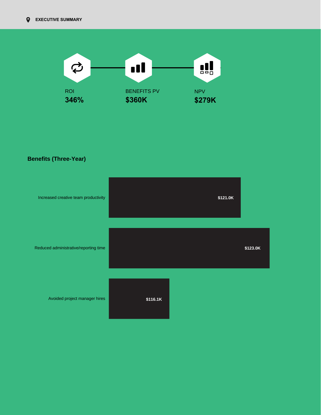

**Benefits (Three-Year)**

| Increased creative team productivity  |          | \$121.0K |          |
|---------------------------------------|----------|----------|----------|
| Reduced administrative/reporting time |          |          | \$123.0K |
| Avoided project manager hires         | \$116.1K |          |          |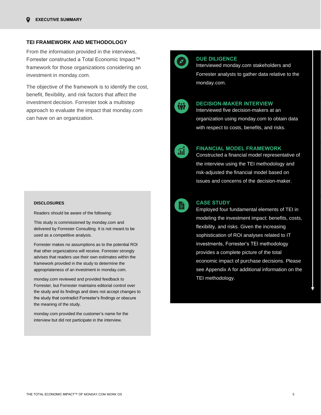#### **TEI FRAMEWORK AND METHODOLOGY**

From the information provided in the interviews, Forrester constructed a Total Economic Impact™ framework for those organizations considering an investment in monday.com.

The objective of the framework is to identify the cost, benefit, flexibility, and risk factors that affect the investment decision. Forrester took a multistep approach to evaluate the impact that monday.com can have on an organization.

#### **DISCLOSURES**

Readers should be aware of the following:

This study is commissioned by monday.com and delivered by Forrester Consulting. It is not meant to be used as a competitive analysis.

Forrester makes no assumptions as to the potential ROI that other organizations will receive. Forrester strongly advises that readers use their own estimates within the framework provided in the study to determine the appropriateness of an investment in monday.com.

monday.com reviewed and provided feedback to Forrester, but Forrester maintains editorial control over the study and its findings and does not accept changes to the study that contradict Forrester's findings or obscure the meaning of the study.

monday.com provided the customer's name for the interview but did not participate in the interview.



#### **DUE DILIGENCE**

Interviewed monday.com stakeholders and Forrester analysts to gather data relative to the monday.com.

#### **DECISION-MAKER INTERVIEW**

Interviewed five decision-makers at an organization using monday.com to obtain data with respect to costs, benefits, and risks.



#### **FINANCIAL MODEL FRAMEWORK**

Constructed a financial model representative of the interview using the TEI methodology and risk-adjusted the financial model based on issues and concerns of the decision-maker.



#### **CASE STUDY**

Employed four fundamental elements of TEI in modeling the investment impact: benefits, costs, flexibility, and risks. Given the increasing sophistication of ROI analyses related to IT investments, Forrester's TEI methodology provides a complete picture of the total economic impact of purchase decisions. Please see Appendix A for additional information on the TEI methodology.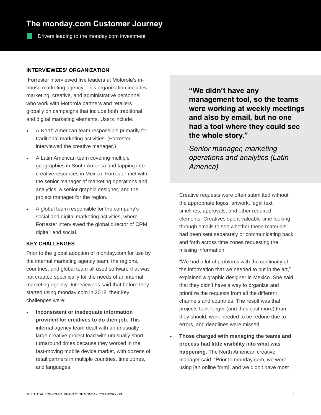# **The monday.com Customer Journey**

Drivers leading to the monday.com investment

## **INTERVIEWEES' ORGANIZATION**

Forrester interviewed five leaders at Motorola's inhouse marketing agency. This organization includes marketing, creative, and administrative personnel who work with Motorola partners and retailers globally on campaigns that include both traditional and digital marketing elements. Users include:

- A North American team responsible primarily for traditional marketing activities. (Forrester interviewed the creative manager.)
- A Latin American team covering multiple geographies in South America and tapping into creative resources in Mexico. Forrester met with the senior manager of marketing operations and analytics, a senior graphic designer, and the project manager for the region.
- A global team responsible for the company's social and digital marketing activities, where Forrester interviewed the global director of CRM, digital, and social.

## **KEY CHALLENGES**

Prior to the global adoption of monday.com for use by the internal marketing agency team, the regions, countries, and global team all used software that was not created specifically for the needs of an internal marketing agency. Interviewees said that before they started using monday.com in 2018, their key challenges were:

• **Inconsistent or inadequate information provided for creatives to do their job.** This internal agency team dealt with an unusually large creative project load with unusually short turnaround times because they worked in the fast-moving mobile device market, with dozens of retail partners in multiple countries, time zones, and languages.

**"We didn't have any management tool, so the teams were working at weekly meetings and also by email, but no one had a tool where they could see the whole story."**

*Senior manager, marketing operations and analytics (Latin America)*

Creative requests were often submitted without the appropriate logos, artwork, legal text, timelines, approvals, and other required elements. Creatives spent valuable time looking through emails to see whether these materials had been sent separately or communicating back and forth across time zones requesting the missing information.

"We had a lot of problems with the continuity of the information that we needed to put in the art," explained a graphic designer in Mexico. She said that they didn't have a way to organize and prioritize the requests from all the different channels and countries. The result was that projects took longer (and thus cost more) than they should, work needed to be redone due to errors, and deadlines were missed.

• **Those charged with managing the teams and process had little visibility into what was happening.** The North American creative manager said: "Prior to monday.com, we were using [an online form], and we didn't have most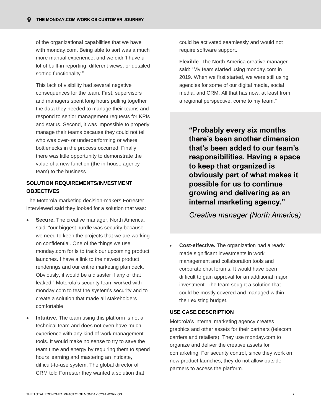of the organizational capabilities that we have with monday.com. Being able to sort was a much more manual experience, and we didn't have a lot of built-in reporting, different views, or detailed sorting functionality."

This lack of visibility had several negative consequences for the team. First, supervisors and managers spent long hours pulling together the data they needed to manage their teams and respond to senior management requests for KPIs and status. Second, it was impossible to properly manage their teams because they could not tell who was over- or underperforming or where bottlenecks in the process occurred. Finally, there was little opportunity to demonstrate the value of a new function (the in-house agency team) to the business.

## **SOLUTION REQUIREMENTS/INVESTMENT OBJECTIVES**

The Motorola marketing decision-makers Forrester interviewed said they looked for a solution that was:

- **Secure.** The creative manager, North America, said: "our biggest hurdle was security because we need to keep the projects that we are working on confidential. One of the things we use monday.com for is to track our upcoming product launches. I have a link to the newest product renderings and our entire marketing plan deck. Obviously, it would be a disaster if any of that leaked." Motorola's security team worked with monday.com to test the system's security and to create a solution that made all stakeholders comfortable.
- **Intuitive.** The team using this platform is not a technical team and does not even have much experience with any kind of work management tools. It would make no sense to try to save the team time and energy by requiring them to spend hours learning and mastering an intricate, difficult-to-use system. The global director of CRM told Forrester they wanted a solution that

could be activated seamlessly and would not require software support.

**Flexible**. The North America creative manager said: "My team started using monday.com in 2019. When we first started, we were still using agencies for some of our digital media, social media, and CRM. All that has now, at least from a regional perspective, come to my team."

**"Probably every six months there's been another dimension that's been added to our team's responsibilities. Having a space to keep that organized is obviously part of what makes it possible for us to continue growing and delivering as an internal marketing agency."**

*Creative manager (North America)*

• **Cost-effective.** The organization had already made significant investments in work management and collaboration tools and corporate chat forums. It would have been difficult to gain approval for an additional major investment. The team sought a solution that could be mostly covered and managed within their existing budget.

## **USE CASE DESCRIPTION**

Motorola's internal marketing agency creates graphics and other assets for their partners (telecom carriers and retailers). They use monday.com to organize and deliver the creative assets for comarketing. For security control, since they work on new product launches, they do not allow outside partners to access the platform.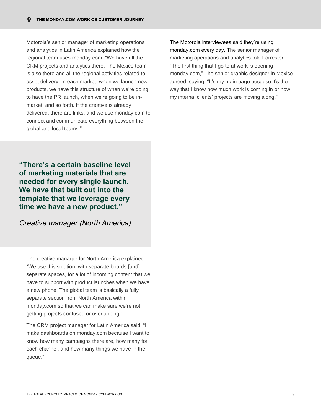Motorola's senior manager of marketing operations and analytics in Latin America explained how the regional team uses monday.com: "We have all the CRM projects and analytics there. The Mexico team is also there and all the regional activities related to asset delivery. In each market, when we launch new products, we have this structure of when we're going to have the PR launch, when we're going to be inmarket, and so forth. If the creative is already delivered, there are links, and we use monday.com to connect and communicate everything between the global and local teams."

The Motorola interviewees said they're using monday.com every day. The senior manager of marketing operations and analytics told Forrester, "The first thing that I go to at work is opening monday.com," The senior graphic designer in Mexico agreed, saying, "It's my main page because it's the way that I know how much work is coming in or how my internal clients' projects are moving along."

**"There's a certain baseline level of marketing materials that are needed for every single launch. We have that built out into the template that we leverage every time we have a new product."**

*Creative manager (North America)*

The creative manager for North America explained: "We use this solution, with separate boards [and] separate spaces, for a lot of incoming content that we have to support with product launches when we have a new phone. The global team is basically a fully separate section from North America within monday.com so that we can make sure we're not getting projects confused or overlapping."

The CRM project manager for Latin America said: "I make dashboards on monday.com because I want to know how many campaigns there are, how many for each channel, and how many things we have in the queue."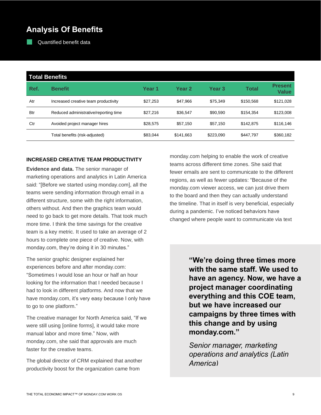# **Analysis Of Benefits**

Quantified benefit data

|            | <b>Total Benefits</b>                 |          |                   |                   |              |                                |  |  |  |
|------------|---------------------------------------|----------|-------------------|-------------------|--------------|--------------------------------|--|--|--|
| Ref.       | <b>Benefit</b>                        | Year 1   | Year <sub>2</sub> | Year <sub>3</sub> | <b>Total</b> | <b>Present</b><br><b>Value</b> |  |  |  |
| Atr        | Increased creative team productivity  | \$27.253 | \$47.966          | \$75.349          | \$150.568    | \$121,028                      |  |  |  |
| <b>Btr</b> | Reduced administrative/reporting time | \$27,216 | \$36.547          | \$90,590          | \$154.354    | \$123,008                      |  |  |  |
| Ctr        | Avoided project manager hires         | \$28,575 | \$57.150          | \$57.150          | \$142.875    | \$116,146                      |  |  |  |
|            | Total benefits (risk-adjusted)        | \$83,044 | \$141.663         | \$223,090         | \$447,797    | \$360,182                      |  |  |  |

## **INCREASED CREATIVE TEAM PRODUCTIVITY**

**Evidence and data.** The senior manager of marketing operations and analytics in Latin America said: "[Before we started using monday.com], all the teams were sending information through email in a different structure, some with the right information, others without. And then the graphics team would need to go back to get more details. That took much more time. I think the time savings for the creative team is a key metric. It used to take an average of 2 hours to complete one piece of creative. Now, with monday.com, they're doing it in 30 minutes."

The senior graphic designer explained her experiences before and after monday.com: "Sometimes I would lose an hour or half an hour looking for the information that I needed because I had to look in different platforms. And now that we have monday.com, it's very easy because I only have to go to one platform."

The creative manager for North America said, "If we were still using [online forms], it would take more manual labor and more time." Now, with monday.com, she said that approvals are much faster for the creative teams.

The global director of CRM explained that another productivity boost for the organization came from

monday.com helping to enable the work of creative teams across different time zones. She said that fewer emails are sent to communicate to the different regions, as well as fewer updates: "Because of the monday.com viewer access, we can just drive them to the board and then they can actually understand the timeline. That in itself is very beneficial, especially during a pandemic. I've noticed behaviors have changed where people want to communicate via text

> **"We're doing three times more with the same staff. We used to have an agency. Now, we have a project manager coordinating everything and this COE team, but we have increased our campaigns by three times with this change and by using monday.com."**

*Senior manager, marketing operations and analytics (Latin America)*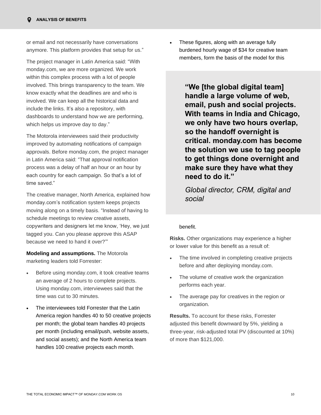or email and not necessarily have conversations anymore. This platform provides that setup for us."

The project manager in Latin America said: "With monday.com, we are more organized. We work within this complex process with a lot of people involved. This brings transparency to the team. We know exactly what the deadlines are and who is involved. We can keep all the historical data and include the links. It's also a repository, with dashboards to understand how we are performing, which helps us improve day to day."

The Motorola interviewees said their productivity improved by automating notifications of campaign approvals. Before monday.com, the project manager in Latin America said: "That approval notification process was a delay of half an hour or an hour by each country for each campaign. So that's a lot of time saved."

The creative manager, North America, explained how monday.com's notification system keeps projects moving along on a timely basis. "Instead of having to schedule meetings to review creative assets, copywriters and designers let me know, 'Hey, we just tagged you. Can you please approve this ASAP because we need to hand it over?'"

**Modeling and assumptions.** The Motorola marketing leaders told Forrester:

- Before using monday.com, it took creative teams an average of 2 hours to complete projects. Using monday.com, interviewees said that the time was cut to 30 minutes.
- The interviewees told Forrester that the Latin America region handles 40 to 50 creative projects per month; the global team handles 40 projects per month (including email/push, website assets, and social assets); and the North America team handles 100 creative projects each month.

• These figures, along with an average fully burdened hourly wage of \$34 for creative team members, form the basis of the model for this

> **"We [the global digital team] handle a large volume of web, email, push and social projects. With teams in India and Chicago, we only have two hours overlap, so the handoff overnight is critical. monday.com has become the solution we use to tag people to get things done overnight and make sure they have what they need to do it."**

*Global director, CRM, digital and social*

## benefit.

**Risks.** Other organizations may experience a higher or lower value for this benefit as a result of:

- The time involved in completing creative projects before and after deploying monday.com.
- The volume of creative work the organization performs each year.
- The average pay for creatives in the region or organization.

**Results.** To account for these risks, Forrester adjusted this benefit downward by 5%, yielding a three-year, risk-adjusted total PV (discounted at 10%) of more than \$121,000.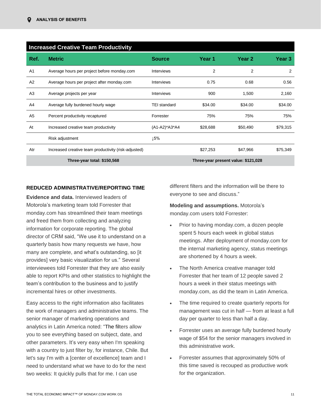|                             | <b>Increased Creative Team Productivity</b>          |                     |          |                                     |          |  |  |  |
|-----------------------------|------------------------------------------------------|---------------------|----------|-------------------------------------|----------|--|--|--|
| Ref.                        | <b>Metric</b>                                        | <b>Source</b>       | Year 1   | Year 2                              | Year 3   |  |  |  |
| A <sub>1</sub>              | Average hours per project before monday.com          | <b>Interviews</b>   | 2        | 2                                   | 2        |  |  |  |
| A2                          | Average hours per project after monday.com           | Interviews          | 0.75     | 0.68                                | 0.56     |  |  |  |
| A <sub>3</sub>              | Average projects per year                            | <b>Interviews</b>   | 900      | 1,500                               | 2,160    |  |  |  |
| A4                          | Average fully burdened hourly wage                   | <b>TEI standard</b> | \$34.00  | \$34.00                             | \$34.00  |  |  |  |
| A5                          | Percent productivity recaptured                      | Forrester           | 75%      | 75%                                 | 75%      |  |  |  |
| At                          | Increased creative team productivity                 | (A1-A2)*A3*A4       | \$28,688 | \$50,490                            | \$79,315 |  |  |  |
|                             | Risk adjustment                                      | ⊥5%                 |          |                                     |          |  |  |  |
| Atr                         | Increased creative team productivity (risk-adjusted) |                     | \$27,253 | \$47,966                            | \$75,349 |  |  |  |
| Three-year total: \$150,568 |                                                      |                     |          | Three-year present value: \$121,028 |          |  |  |  |

## **REDUCED ADMINISTRATIVE/REPORTING TIME**

**Evidence and data.** Interviewed leaders of Motorola's marketing team told Forrester that monday.com has streamlined their team meetings and freed them from collecting and analyzing information for corporate reporting. The global director of CRM said, "We use it to understand on a quarterly basis how many requests we have, how many are complete, and what's outstanding, so [it provides] very basic visualization for us." Several interviewees told Forrester that they are also easily able to report KPIs and other statistics to highlight the team's contribution to the business and to justify incremental hires or other investments.

Easy access to the right information also facilitates the work of managers and administrative teams. The senior manager of marketing operations and analytics in Latin America noted: "The filters allow you to see everything based on subject, date, and other parameters. It's very easy when I'm speaking with a country to just filter by, for instance, Chile. But let's say I'm with a lcenter of excellencel team and I need to understand what we have to do for the next two weeks: It quickly pulls that for me. I can use

different filters and the information will be there to everyone to see and discuss."

**Modeling and assumptions.** Motorola's monday.com users told Forrester:

- Prior to having monday.com, a dozen people spent 5 hours each week in global status meetings. After deployment of monday.com for the internal marketing agency, status meetings are shortened by 4 hours a week.
- The North America creative manager told Forrester that her team of 12 people saved 2 hours a week in their status meetings with monday.com, as did the team in Latin America.
- The time required to create quarterly reports for management was cut in half — from at least a full day per quarter to less than half a day.
- Forrester uses an average fully burdened hourly wage of \$54 for the senior managers involved in this administrative work.
- Forrester assumes that approximately 50% of this time saved is recouped as productive work for the organization.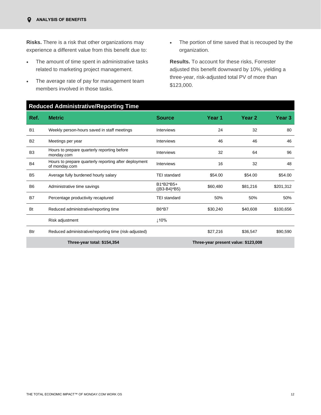**Risks.** There is a risk that other organizations may experience a different value from this benefit due to:

- The amount of time spent in administrative tasks related to marketing project management.
- The average rate of pay for management team members involved in those tasks.
- The portion of time saved that is recouped by the organization.

**Results.** To account for these risks, Forrester adjusted this benefit downward by 10%, yielding a three-year, risk-adjusted total PV of more than \$123,000.

## **Reduced Administrative/Reporting Time**

| Ref.           | <b>Metric</b>                                                          | <b>Source</b>               | Year 1   | Year 2                              | Year 3    |
|----------------|------------------------------------------------------------------------|-----------------------------|----------|-------------------------------------|-----------|
| <b>B1</b>      | Weekly person-hours saved in staff meetings                            | <b>Interviews</b>           | 24       | 32                                  | 80        |
| <b>B2</b>      | Meetings per year                                                      | Interviews                  | 46       | 46                                  | 46        |
| B <sub>3</sub> | Hours to prepare quarterly reporting before<br>monday.com              | Interviews                  | 32       | 64                                  | 96        |
| <b>B4</b>      | Hours to prepare quarterly reporting after deployment<br>of monday.com | Interviews                  | 16       | 32                                  | 48        |
| B <sub>5</sub> | Average fully burdened hourly salary                                   | <b>TEI</b> standard         | \$54.00  | \$54.00                             | \$54.00   |
| B <sub>6</sub> | Administrative time savings                                            | B1*B2*B5+<br>$((B3-B4)*B5)$ | \$60,480 | \$81,216                            | \$201,312 |
| <b>B7</b>      | Percentage productivity recaptured                                     | <b>TEI</b> standard         | 50%      | 50%                                 | 50%       |
| Bt             | Reduced administrative/reporting time                                  | B6*B7                       | \$30,240 | \$40,608                            | \$100,656 |
|                | Risk adjustment                                                        | 110%                        |          |                                     |           |
| <b>Btr</b>     | Reduced administrative/reporting time (risk-adjusted)                  |                             | \$27,216 | \$36,547                            | \$90,590  |
|                | Three-year total: \$154,354                                            |                             |          | Three-year present value: \$123,008 |           |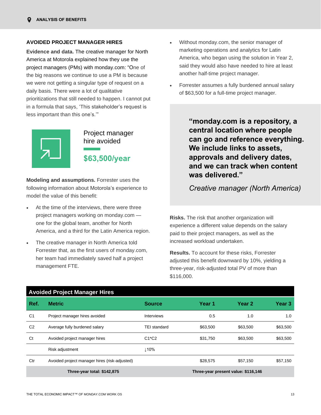#### **AVOIDED PROJECT MANAGER HIRES**

**Evidence and data.** The creative manager for North America at Motorola explained how they use the project managers (PMs) with monday.com: "One of the big reasons we continue to use a PM is because we were not getting a singular type of request on a daily basis. There were a lot of qualitative prioritizations that still needed to happen. I cannot put in a formula that says, 'This stakeholder's request is less important than this one's.'"



Project manager hire avoided **\$63,500/year**

**Modeling and assumptions.** Forrester uses the following information about Motorola's experience to model the value of this benefit:

- At the time of the interviews, there were three project managers working on monday.com one for the global team, another for North America, and a third for the Latin America region.
- The creative manager in North America told Forrester that, as the first users of monday.com, her team had immediately saved half a project management FTE.
- Without monday.com, the senior manager of marketing operations and analytics for Latin America, who began using the solution in Year 2, said they would also have needed to hire at least another half-time project manager.
- Forrester assumes a fully burdened annual salary of \$63,500 for a full-time project manager.

**"monday.com is a repository, a central location where people can go and reference everything. We include links to assets, approvals and delivery dates, and we can track when content was delivered."**

## *Creative manager (North America)*

**Risks.** The risk that another organization will experience a different value depends on the salary paid to their project managers, as well as the increased workload undertaken.

**Results.** To account for these risks, Forrester adjusted this benefit downward by 10%, yielding a three-year, risk-adjusted total PV of more than \$116,000.

|                             | <b>Avoided Project Manager Hires</b>          |                     |          |                                     |          |  |  |  |  |
|-----------------------------|-----------------------------------------------|---------------------|----------|-------------------------------------|----------|--|--|--|--|
| Ref.                        | <b>Metric</b>                                 | <b>Source</b>       | Year 1   | Year 2                              | Year 3   |  |  |  |  |
| C <sub>1</sub>              | Project manager hires avoided                 | Interviews          | 0.5      | 1.0                                 | 1.0      |  |  |  |  |
| C <sub>2</sub>              | Average fully burdened salary                 | <b>TEI</b> standard | \$63,500 | \$63,500                            | \$63,500 |  |  |  |  |
| Ct                          | Avoided project manager hires                 | $C1^{\star}C2$      | \$31,750 | \$63,500                            | \$63,500 |  |  |  |  |
|                             | Risk adjustment                               | 110%                |          |                                     |          |  |  |  |  |
| Ctr                         | Avoided project manager hires (risk-adjusted) |                     | \$28,575 | \$57,150                            | \$57,150 |  |  |  |  |
| Three-year total: \$142,875 |                                               |                     |          | Three-year present value: \$116,146 |          |  |  |  |  |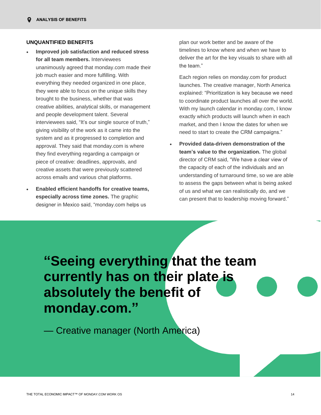#### **UNQUANTIFIED BENEFITS**

- **Improved job satisfaction and reduced stress for all team members.** Interviewees unanimously agreed that monday.com made their job much easier and more fulfilling. With everything they needed organized in one place, they were able to focus on the unique skills they brought to the business, whether that was creative abilities, analytical skills, or management and people development talent. Several interviewees said, "It's our single source of truth," giving visibility of the work as it came into the system and as it progressed to completion and approval. They said that monday.com is where they find everything regarding a campaign or piece of creative: deadlines, approvals, and creative assets that were previously scattered across emails and various chat platforms.
- **Enabled efficient handoffs for creative teams, especially across time zones.** The graphic designer in Mexico said, "monday.com helps us

plan our work better and be aware of the timelines to know where and when we have to deliver the art for the key visuals to share with all the team."

Each region relies on monday.com for product launches. The creative manager, North America explained: "Prioritization is key because we need to coordinate product launches all over the world. With my launch calendar in monday.com, I know exactly which products will launch when in each market, and then I know the dates for when we need to start to create the CRM campaigns."

• **Provided data-driven demonstration of the team's value to the organization.** The global director of CRM said, "We have a clear view of the capacity of each of the individuals and an understanding of turnaround time, so we are able to assess the gaps between what is being asked of us and what we can realistically do, and we can present that to leadership moving forward."

**"Seeing everything that the team currently has on their plate is absolutely the benefit of monday.com."**

— Creative manager (North America)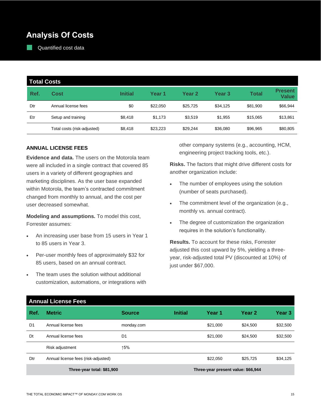# **Analysis Of Costs**

Quantified cost data

| <b>Total Costs</b> |                             |                |          |                   |                   |          |                                |
|--------------------|-----------------------------|----------------|----------|-------------------|-------------------|----------|--------------------------------|
| Ref.               | Cost                        | <b>Initial</b> | Year 1   | Year <sub>2</sub> | Year <sub>3</sub> | Total    | <b>Present</b><br><b>Value</b> |
| Dtr                | Annual license fees         | \$0            | \$22.050 | \$25,725          | \$34,125          | \$81,900 | \$66,944                       |
| Etr                | Setup and training          | \$8,418        | \$1,173  | \$3,519           | \$1,955           | \$15,065 | \$13,861                       |
|                    | Total costs (risk-adjusted) | \$8,418        | \$23,223 | \$29,244          | \$36,080          | \$96,965 | \$80,805                       |

## **ANNUAL LICENSE FEES**

**Evidence and data.** The users on the Motorola team were all included in a single contract that covered 85 users in a variety of different geographies and marketing disciplines. As the user base expanded within Motorola, the team's contracted commitment changed from monthly to annual, and the cost per user decreased somewhat.

**Modeling and assumptions.** To model this cost, Forrester assumes:

- An increasing user base from 15 users in Year 1 to 85 users in Year 3.
- Per-user monthly fees of approximately \$32 for 85 users, based on an annual contract.
- The team uses the solution without additional customization, automations, or integrations with

other company systems (e.g., accounting, HCM, engineering project tracking tools, etc.).

**Risks.** The factors that might drive different costs for another organization include:

- The number of employees using the solution (number of seats purchased).
- The commitment level of the organization (e.g., monthly vs. annual contract).
- The degree of customization the organization requires in the solution's functionality.

**Results.** To account for these risks, Forrester adjusted this cost upward by 5%, yielding a threeyear, risk-adjusted total PV (discounted at 10%) of just under \$67,000.

|                            | <b>Annual License Fees</b>          |                |                |                                    |          |          |  |  |
|----------------------------|-------------------------------------|----------------|----------------|------------------------------------|----------|----------|--|--|
| Ref.                       | <b>Metric</b>                       | <b>Source</b>  | <b>Initial</b> | Year 1                             | Year 2   | Year 3   |  |  |
| D <sub>1</sub>             | Annual license fees                 | monday.com     |                | \$21,000                           | \$24,500 | \$32,500 |  |  |
| Dt                         | Annual license fees                 | D <sub>1</sub> |                | \$21,000                           | \$24,500 | \$32,500 |  |  |
|                            | Risk adjustment                     | ↑5%            |                |                                    |          |          |  |  |
| Dtr                        | Annual license fees (risk-adjusted) |                |                | \$22,050                           | \$25,725 | \$34,125 |  |  |
| Three-year total: \$81,900 |                                     |                |                | Three-year present value: \$66,944 |          |          |  |  |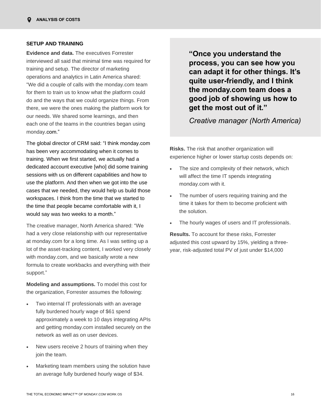## **SETUP AND TRAINING**

**Evidence and data.** The executives Forrester interviewed all said that minimal time was required for training and setup. The director of marketing operations and analytics in Latin America shared: "We did a couple of calls with the monday.com team for them to train us to know what the platform could do and the ways that we could organize things. From there, we were the ones making the platform work for our needs. We shared some learnings, and then each one of the teams in the countries began using monday.com."

The global director of CRM said: "I think monday.com has been very accommodating when it comes to training. When we first started, we actually had a dedicated account executive [who] did some training sessions with us on different capabilities and how to use the platform. And then when we got into the use cases that we needed, they would help us build those workspaces. I think from the time that we started to the time that people became comfortable with it, I would say was two weeks to a month."

The creative manager, North America shared: "We had a very close relationship with our representative at monday.com for a long time. As I was setting up a lot of the asset-tracking content, I worked very closely with monday.com, and we basically wrote a new formula to create workbacks and everything with their support."

**Modeling and assumptions.** To model this cost for the organization, Forrester assumes the following:

- Two internal IT professionals with an average fully burdened hourly wage of \$61 spend approximately a week to 10 days integrating APIs and getting monday.com installed securely on the network as well as on user devices.
- New users receive 2 hours of training when they join the team.
- Marketing team members using the solution have an average fully burdened hourly wage of \$34.

**"Once you understand the process, you can see how you can adapt it for other things. It's quite user-friendly, and I think the monday.com team does a good job of showing us how to get the most out of it."**

*Creative manager (North America)*

**Risks.** The risk that another organization will experience higher or lower startup costs depends on:

- The size and complexity of their network, which will affect the time IT spends integrating monday.com with it.
- The number of users requiring training and the time it takes for them to become proficient with the solution.
- The hourly wages of users and IT professionals.

**Results.** To account for these risks, Forrester adjusted this cost upward by 15%, yielding a threeyear, risk-adjusted total PV of just under \$14,000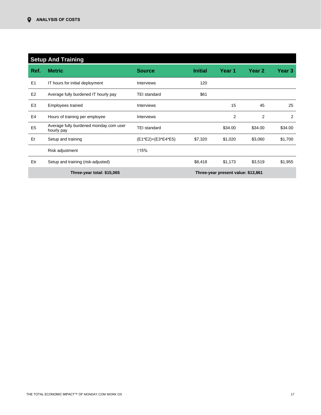|                | <b>Setup And Training</b>                            |                     |                |                                    |                |         |  |  |
|----------------|------------------------------------------------------|---------------------|----------------|------------------------------------|----------------|---------|--|--|
| Ref.           | <b>Metric</b>                                        | <b>Source</b>       | <b>Initial</b> | Year 1                             | Year 2         | Year 3  |  |  |
| E <sub>1</sub> | IT hours for initial deployment                      | <b>Interviews</b>   | 120            |                                    |                |         |  |  |
| E <sub>2</sub> | Average fully burdened IT hourly pay                 | <b>TEI standard</b> | \$61           |                                    |                |         |  |  |
| E <sub>3</sub> | Employees trained                                    | <b>Interviews</b>   |                | 15                                 | 45             | 25      |  |  |
| E4             | Hours of training per employee                       | <b>Interviews</b>   |                | $\overline{2}$                     | $\overline{2}$ | 2       |  |  |
| E <sub>5</sub> | Average fully burdened monday.com user<br>hourly pay | <b>TEI standard</b> |                | \$34.00                            | \$34.00        | \$34.00 |  |  |
| Et             | Setup and training                                   | (E1*E2)+(E3*E4*E5)  | \$7,320        | \$1,020                            | \$3,060        | \$1,700 |  |  |
|                | Risk adjustment                                      | ↑15%                |                |                                    |                |         |  |  |
| Etr            | Setup and training (risk-adjusted)                   |                     | \$8,418        | \$1,173                            | \$3,519        | \$1,955 |  |  |
|                | Three-year total: \$15,065                           |                     |                | Three-year present value: \$13,861 |                |         |  |  |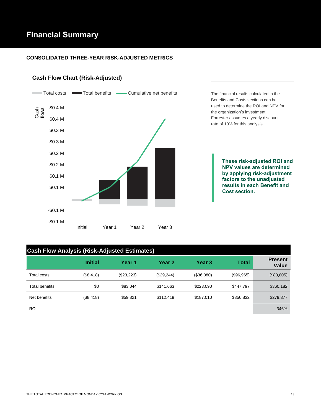# **Financial Summary**

## **CONSOLIDATED THREE-YEAR RISK-ADJUSTED METRICS**

## **Cash Flow Chart (Risk-Adjusted)**



## **Cash Flow Analysis (Risk-Adjusted Estimates)**

|                | <b>Initial</b> | Year 1     | Year 2     | Year <sub>3</sub> | <b>Total</b> | <b>Present</b><br>Value |
|----------------|----------------|------------|------------|-------------------|--------------|-------------------------|
| Total costs    | (\$8,418)      | (\$23,223) | (\$29,244) | (\$36,080)        | (\$96,965)   | (\$80, 805)             |
| Total benefits | \$0            | \$83,044   | \$141,663  | \$223,090         | \$447,797    | \$360,182               |
| Net benefits   | (\$8,418)      | \$59,821   | \$112.419  | \$187,010         | \$350,832    | \$279,377               |
| <b>ROI</b>     |                |            |            |                   |              | 346%                    |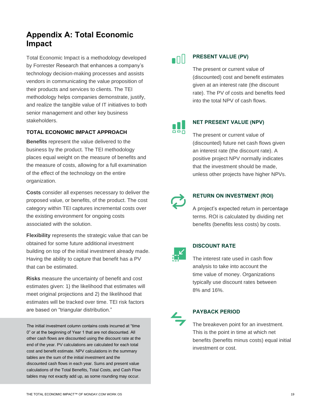# **Appendix A: Total Economic Impact**

Total Economic Impact is a methodology developed by Forrester Research that enhances a company's technology decision-making processes and assists vendors in communicating the value proposition of their products and services to clients. The TEI methodology helps companies demonstrate, justify, and realize the tangible value of IT initiatives to both senior management and other key business stakeholders.

## **TOTAL ECONOMIC IMPACT APPROACH**

**Benefits** represent the value delivered to the business by the product. The TEI methodology places equal weight on the measure of benefits and the measure of costs, allowing for a full examination of the effect of the technology on the entire organization.

**Costs** consider all expenses necessary to deliver the proposed value, or benefits, of the product. The cost category within TEI captures incremental costs over the existing environment for ongoing costs associated with the solution.

**Flexibility** represents the strategic value that can be obtained for some future additional investment building on top of the initial investment already made. Having the ability to capture that benefit has a PV that can be estimated.

**Risks** measure the uncertainty of benefit and cost estimates given: 1) the likelihood that estimates will meet original projections and 2) the likelihood that estimates will be tracked over time. TEI risk factors are based on "triangular distribution."

The initial investment column contains costs incurred at "time 0" or at the beginning of Year 1 that are not discounted. All other cash flows are discounted using the discount rate at the end of the year. PV calculations are calculated for each total cost and benefit estimate. NPV calculations in the summary tables are the sum of the initial investment and the discounted cash flows in each year. Sums and present value calculations of the Total Benefits, Total Costs, and Cash Flow tables may not exactly add up, as some rounding may occur.

# $\blacksquare$

## **PRESENT VALUE (PV)**

The present or current value of (discounted) cost and benefit estimates given at an interest rate (the discount rate). The PV of costs and benefits feed into the total NPV of cash flows.

66ñ

## **NET PRESENT VALUE (NPV)**

The present or current value of (discounted) future net cash flows given an interest rate (the discount rate). A positive project NPV normally indicates that the investment should be made, unless other projects have higher NPVs.



## **RETURN ON INVESTMENT (ROI)**

A project's expected return in percentage terms. ROI is calculated by dividing net benefits (benefits less costs) by costs.



#### **DISCOUNT RATE**

The interest rate used in cash flow analysis to take into account the time value of money. Organizations typically use discount rates between 8% and 16%.



## **PAYBACK PERIOD**

The breakeven point for an investment. This is the point in time at which net benefits (benefits minus costs) equal initial investment or cost.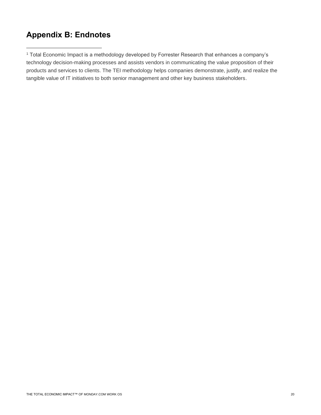# **Appendix B: Endnotes**

<sup>1</sup> Total Economic Impact is a methodology developed by Forrester Research that enhances a company's technology decision-making processes and assists vendors in communicating the value proposition of their products and services to clients. The TEI methodology helps companies demonstrate, justify, and realize the tangible value of IT initiatives to both senior management and other key business stakeholders.